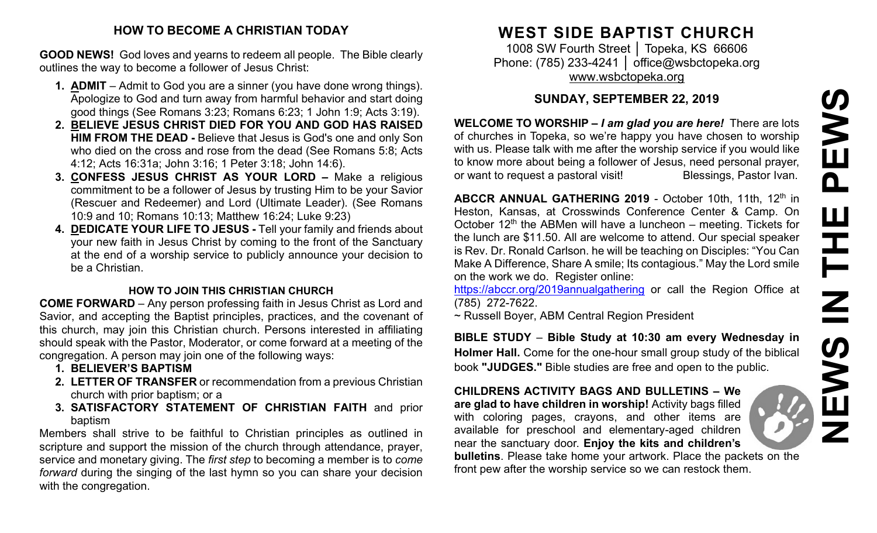# **HOW TO BECOME A CHRISTIAN TODAY**

**GOOD NEWS!** God loves and yearns to redeem all people. The Bible clearly outlines the way to become a follower of Jesus Christ:

- **1. ADMIT** Admit to God you are a sinner (you have done wrong things). Apologize to God and turn away from harmful behavior and start doing good things (See Romans 3:23; Romans 6:23; 1 John 1:9; Acts 3:19).
- **2. BELIEVE JESUS CHRIST DIED FOR YOU AND GOD HAS RAISED HIM FROM THE DEAD -** Believe that Jesus is God's one and only Son who died on the cross and rose from the dead (See Romans 5:8; Acts 4:12; Acts 16:31a; John 3:16; 1 Peter 3:18; John 14:6).
- **3. CONFESS JESUS CHRIST AS YOUR LORD –** Make a religious commitment to be a follower of Jesus by trusting Him to be your Savior (Rescuer and Redeemer) and Lord (Ultimate Leader). (See Romans 10:9 and 10; Romans 10:13; Matthew 16:24; Luke 9:23)
- **4. DEDICATE YOUR LIFE TO JESUS -** Tell your family and friends about your new faith in Jesus Christ by coming to the front of the Sanctuary at the end of a worship service to publicly announce your decision to be a Christian.

# **HOW TO JOIN THIS CHRISTIAN CHURCH**

**COME FORWARD** – Any person professing faith in Jesus Christ as Lord and Savior, and accepting the Baptist principles, practices, and the covenant of this church, may join this Christian church. Persons interested in affiliating should speak with the Pastor, Moderator, or come forward at a meeting of the congregation. A person may join one of the following ways:

- **1. BELIEVER'S BAPTISM**
- **2. LETTER OF TRANSFER** or recommendation from a previous Christian church with prior baptism; or a
- **3. SATISFACTORY STATEMENT OF CHRISTIAN FAITH** and prior baptism

Members shall strive to be faithful to Christian principles as outlined in scripture and support the mission of the church through attendance, prayer, service and monetary giving. The *first step* to becoming a member is to *come forward* during the singing of the last hymn so you can share your decision with the congregation.

# **WEST SIDE BAPTIST CHURCH**

1008 SW Fourth Street | Topeka, KS 66606 Phone: (785) 233-4241 │ [office@wsbctopeka.org](mailto:office@wsbctopeka.org) [www.wsbctopeka.org](http://www.wsbctopeka.org/)

# **SUNDAY, SEPTEMBER 22, 2019**

**WELCOME TO WORSHIP –** *I am glad you are here!* There are lots of churches in Topeka, so we're happy you have chosen to worship with us. Please talk with me after the worship service if you would like to know more about being a follower of Jesus, need personal prayer, or want to request a pastoral visit!<br>
Blessings, Pastor Ivan.

**ABCCR ANNUAL GATHERING 2019 - October 10th, 11th, 12<sup>th</sup> in** Heston, Kansas, at Crosswinds Conference Center & Camp. On October  $12<sup>th</sup>$  the ABMen will have a luncheon – meeting. Tickets for the lunch are \$11.50. All are welcome to attend. Our special speaker is Rev. Dr. Ronald Carlson. he will be teaching on Disciples: "You Can Make A Difference, Share A smile; Its contagious." May the Lord smile on the work we do. Register online:

<https://abccr.org/2019annualgathering> or call the Region Office at (785) 272-7622.

~ Russell Boyer, ABM Central Region President

**BIBLE STUDY** – **Bible Study at 10:30 am every Wednesday in Holmer Hall.** Come for the one-hour small group study of the biblical book **"JUDGES."** Bible studies are free and open to the public.

**CHILDRENS ACTIVITY BAGS AND BULLETINS – We are glad to have children in worship!** Activity bags filled with coloring pages, crayons, and other items are available for preschool and elementary-aged children near the sanctuary door. **Enjoy the kits and children's bulletins**. Please take home your artwork. Place the packets on the

front pew after the worship service so we can restock them.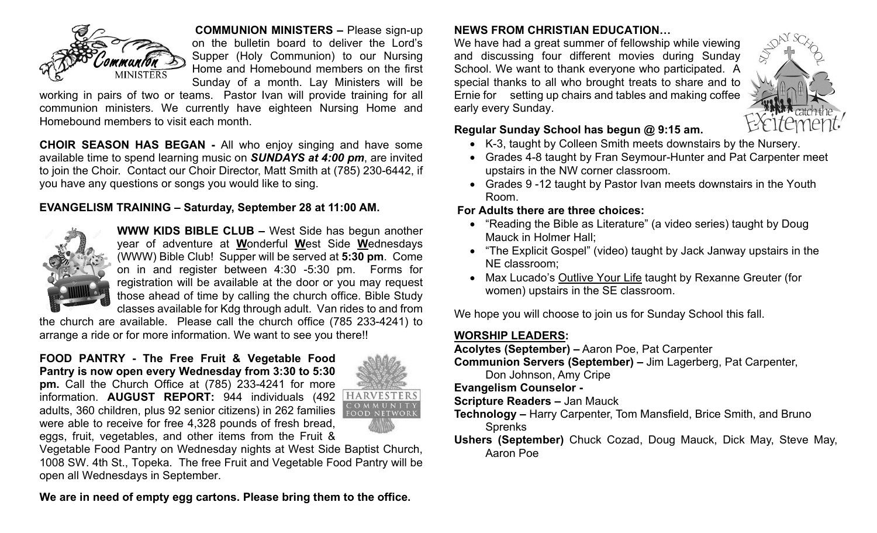

**COMMUNION MINISTERS –** Please sign-up on the bulletin board to deliver the Lord's Supper (Holy Communion) to our Nursing Home and Homebound members on the first Sunday of a month. Lay Ministers will be

working in pairs of two or teams. Pastor Ivan will provide training for all communion ministers. We currently have eighteen Nursing Home and Homebound members to visit each month.

**CHOIR SEASON HAS BEGAN -** All who enjoy singing and have some available time to spend learning music on *SUNDAYS at 4:00 pm*, are invited to join the Choir. Contact our Choir Director, Matt Smith at (785) 230-6442, if you have any questions or songs you would like to sing.

## **EVANGELISM TRAINING – Saturday, September 28 at 11:00 AM.**



**WWW KIDS BIBLE CLUB –** West Side has begun another year of adventure at **W**onderful **W**est Side **W**ednesdays (WWW) Bible Club! Supper will be served at **5:30 pm**. Come on in and register between 4:30 -5:30 pm. Forms for registration will be available at the door or you may request those ahead of time by calling the church office. Bible Study classes available for Kdg through adult. Van rides to and from

the church are available. Please call the church office (785 233-4241) to arrange a ride or for more information. We want to see you there!!

#### **FOOD PANTRY - The Free Fruit & Vegetable Food Pantry is now open every Wednesday from 3:30 to 5:30**

**pm.** Call the Church Office at (785) 233-4241 for more information. **AUGUST REPORT:** 944 individuals (492 adults, 360 children, plus 92 senior citizens) in 262 families were able to receive for free 4,328 pounds of fresh bread, eggs, fruit, vegetables, and other items from the Fruit &



Vegetable Food Pantry on Wednesday nights at West Side Baptist Church, 1008 SW. 4th St., Topeka. The free Fruit and Vegetable Food Pantry will be open all Wednesdays in September.

**We are in need of empty egg cartons. Please bring them to the office.**

# **NEWS FROM CHRISTIAN EDUCATION…**

We have had a great summer of fellowship while viewing and discussing four different movies during Sunday School. We want to thank everyone who participated. A special thanks to all who brought treats to share and to Ernie for setting up chairs and tables and making coffee early every Sunday.



## **Regular Sunday School has begun @ 9:15 am.**

- K-3, taught by Colleen Smith meets downstairs by the Nursery.
- Grades 4-8 taught by Fran Seymour-Hunter and Pat Carpenter meet upstairs in the NW corner classroom.
- Grades 9 -12 taught by Pastor Ivan meets downstairs in the Youth Room.

# **For Adults there are three choices:**

- "Reading the Bible as Literature" (a video series) taught by Doug Mauck in Holmer Hall;
- "The Explicit Gospel" (video) taught by Jack Janway upstairs in the NE classroom;
- Max Lucado's Outlive Your Life taught by Rexanne Greuter (for women) upstairs in the SE classroom.

We hope you will choose to join us for Sunday School this fall.

# **WORSHIP LEADERS:**

**Acolytes (September) –** Aaron Poe, Pat Carpenter

**Communion Servers (September) –** Jim Lagerberg, Pat Carpenter,

Don Johnson, Amy Cripe

#### **Evangelism Counselor -**

- **Scripture Readers –** Jan Mauck
- **Technology –** Harry Carpenter, Tom Mansfield, Brice Smith, and Bruno **Sprenks**
- **Ushers (September)** Chuck Cozad, Doug Mauck, Dick May, Steve May, Aaron Poe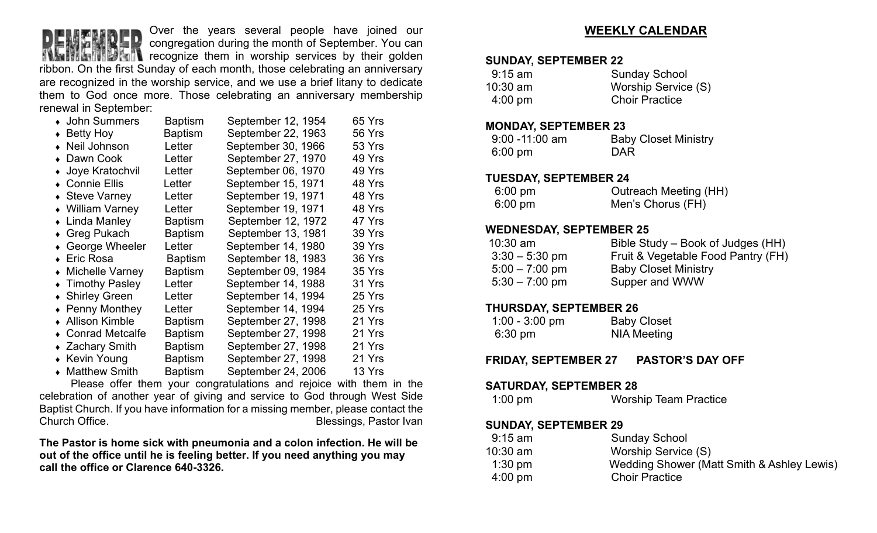

Over the years several people have joined our congregation during the month of September. You can

**The recognize them in worship services by their golden** ribbon. On the first Sunday of each month, those celebrating an anniversary are recognized in the worship service, and we use a brief litany to dedicate them to God once more. Those celebrating an anniversary membership renewal in September:

| • John Summers          | <b>Baptism</b> | September 12, 1954 | 65 Yrs |
|-------------------------|----------------|--------------------|--------|
| $\bullet$ Betty Hoy     | Baptism        | September 22, 1963 | 56 Yrs |
| • Neil Johnson          | Letter         | September 30, 1966 | 53 Yrs |
| • Dawn Cook             | Letter         | September 27, 1970 | 49 Yrs |
| • Joye Kratochvil       | Letter         | September 06, 1970 | 49 Yrs |
| • Connie Ellis          | Letter         | September 15, 1971 | 48 Yrs |
| ◆ Steve Varney          | Letter         | September 19, 1971 | 48 Yrs |
| • William Varney        | Letter         | September 19, 1971 | 48 Yrs |
| • Linda Manley          | <b>Baptism</b> | September 12, 1972 | 47 Yrs |
| ◆ Greg Pukach           | <b>Baptism</b> | September 13, 1981 | 39 Yrs |
| ◆ George Wheeler        | Letter         | September 14, 1980 | 39 Yrs |
| ◆ Eric Rosa             | <b>Baptism</b> | September 18, 1983 | 36 Yrs |
| • Michelle Varney       | <b>Baptism</b> | September 09, 1984 | 35 Yrs |
| • Timothy Pasley        | Letter         | September 14, 1988 | 31 Yrs |
| • Shirley Green         | Letter         | September 14, 1994 | 25 Yrs |
| $\bullet$ Penny Monthey | Letter         | September 14, 1994 | 25 Yrs |
| • Allison Kimble        | <b>Baptism</b> | September 27, 1998 | 21 Yrs |
| • Conrad Metcalfe       | <b>Baptism</b> | September 27, 1998 | 21 Yrs |
| ◆ Zachary Smith         | <b>Baptism</b> | September 27, 1998 | 21 Yrs |
| • Kevin Young           | <b>Baptism</b> | September 27, 1998 | 21 Yrs |
| • Matthew Smith         | <b>Baptism</b> | September 24, 2006 | 13 Yrs |

Please offer them your congratulations and rejoice with them in the celebration of another year of giving and service to God through West Side Baptist Church. If you have information for a missing member, please contact the Blessings, Pastor Ivan

**The Pastor is home sick with pneumonia and a colon infection. He will be out of the office until he is feeling better. If you need anything you may call the office or Clarence 640-3326.**

## **WEEKLY CALENDAR**

#### **SUNDAY, SEPTEMBER 22**

| $9:15$ am         | <b>Sunday School</b>  |
|-------------------|-----------------------|
| $10:30$ am        | Worship Service (S)   |
| $4:00 \text{ pm}$ | <b>Choir Practice</b> |

#### **MONDAY, SEPTEMBER 23**

| $9:00 - 11:00$ am | <b>Baby Closet Ministry</b> |
|-------------------|-----------------------------|
| $6:00 \text{ pm}$ | <b>DAR</b>                  |

#### **TUESDAY, SEPTEMBER 24**

| $6:00 \text{ pm}$ | <b>Outreach Meeting (HH)</b> |
|-------------------|------------------------------|
| $6:00 \text{ pm}$ | Men's Chorus (FH)            |

### **WEDNESDAY, SEPTEMBER 25**

| $10:30$ am       | Bible Study – Book of Judges (HH)  |
|------------------|------------------------------------|
| $3:30 - 5:30$ pm | Fruit & Vegetable Food Pantry (FH) |
| $5:00 - 7:00$ pm | <b>Baby Closet Ministry</b>        |
| $5:30 - 7:00$ pm | Supper and WWW                     |

### **THURSDAY, SEPTEMBER 26**

| $1:00 - 3:00$ pm  | <b>Baby Closet</b> |
|-------------------|--------------------|
| $6:30 \text{ pm}$ | <b>NIA Meeting</b> |

**FRIDAY, SEPTEMBER 27 PASTOR'S DAY OFF**

#### **SATURDAY, SEPTEMBER 28**

| <b>Worship Team Practice</b><br>$1:00 \text{ pm}$ |
|---------------------------------------------------|
|---------------------------------------------------|

#### **SUNDAY, SEPTEMBER 29**

| $9:15$ am         | <b>Sunday School</b>                       |
|-------------------|--------------------------------------------|
| $10:30$ am        | Worship Service (S)                        |
| $1:30$ pm         | Wedding Shower (Matt Smith & Ashley Lewis) |
| $4:00 \text{ pm}$ | <b>Choir Practice</b>                      |